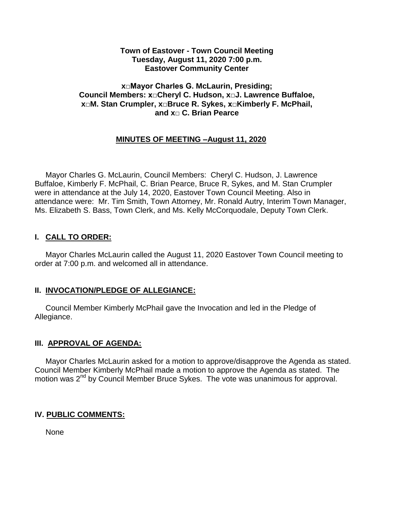#### **Town of Eastover - Town Council Meeting Tuesday, August 11, 2020 7:00 p.m. Eastover Community Center**

#### **x□Mayor Charles G. McLaurin, Presiding; Council Members: x□Cheryl C. Hudson, x□J. Lawrence Buffaloe, x□M. Stan Crumpler, x□Bruce R. Sykes, x□Kimberly F. McPhail, and x□ C. Brian Pearce**

## **MINUTES OF MEETING –August 11, 2020**

 Mayor Charles G. McLaurin, Council Members: Cheryl C. Hudson, J. Lawrence Buffaloe, Kimberly F. McPhail, C. Brian Pearce, Bruce R, Sykes, and M. Stan Crumpler were in attendance at the July 14, 2020, Eastover Town Council Meeting. Also in attendance were: Mr. Tim Smith, Town Attorney, Mr. Ronald Autry, Interim Town Manager, Ms. Elizabeth S. Bass, Town Clerk, and Ms. Kelly McCorquodale, Deputy Town Clerk.

### **I. CALL TO ORDER:**

 Mayor Charles McLaurin called the August 11, 2020 Eastover Town Council meeting to order at 7:00 p.m. and welcomed all in attendance.

### **II. INVOCATION/PLEDGE OF ALLEGIANCE:**

 Council Member Kimberly McPhail gave the Invocation and led in the Pledge of Allegiance.

### **III. APPROVAL OF AGENDA:**

 Mayor Charles McLaurin asked for a motion to approve/disapprove the Agenda as stated. Council Member Kimberly McPhail made a motion to approve the Agenda as stated. The motion was 2<sup>nd</sup> by Council Member Bruce Sykes. The vote was unanimous for approval.

### **IV. PUBLIC COMMENTS:**

None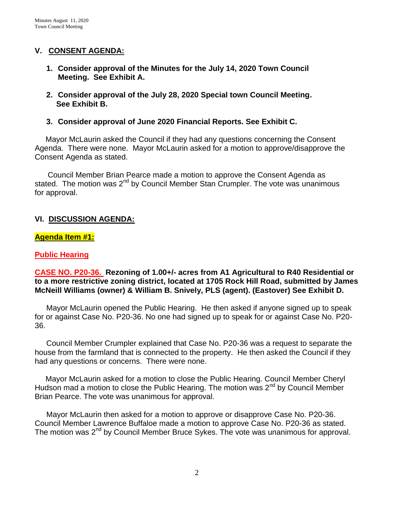### **V. CONSENT AGENDA:**

- **1. Consider approval of the Minutes for the July 14, 2020 Town Council Meeting. See Exhibit A.**
- **2. Consider approval of the July 28, 2020 Special town Council Meeting. See Exhibit B.**
- **3. Consider approval of June 2020 Financial Reports. See Exhibit C.**

 Mayor McLaurin asked the Council if they had any questions concerning the Consent Agenda. There were none. Mayor McLaurin asked for a motion to approve/disapprove the Consent Agenda as stated.

 Council Member Brian Pearce made a motion to approve the Consent Agenda as stated. The motion was  $2^{nd}$  by Council Member Stan Crumpler. The vote was unanimous for approval.

## **VI. DISCUSSION AGENDA:**

### **Agenda Item #1:**

### **Public Hearing**

### **CASE NO. P20-36. Rezoning of 1.00+/- acres from A1 Agricultural to R40 Residential or to a more restrictive zoning district, located at 1705 Rock Hill Road, submitted by James McNeill Williams (owner) & William B. Snively, PLS (agent). (Eastover) See Exhibit D.**

Mayor McLaurin opened the Public Hearing. He then asked if anyone signed up to speak for or against Case No. P20-36. No one had signed up to speak for or against Case No. P20- 36.

Council Member Crumpler explained that Case No. P20-36 was a request to separate the house from the farmland that is connected to the property. He then asked the Council if they had any questions or concerns. There were none.

 Mayor McLaurin asked for a motion to close the Public Hearing. Council Member Cheryl Hudson mad a motion to close the Public Hearing. The motion was  $2^{nd}$  by Council Member Brian Pearce. The vote was unanimous for approval.

Mayor McLaurin then asked for a motion to approve or disapprove Case No. P20-36. Council Member Lawrence Buffaloe made a motion to approve Case No. P20-36 as stated. The motion was 2<sup>nd</sup> by Council Member Bruce Sykes. The vote was unanimous for approval.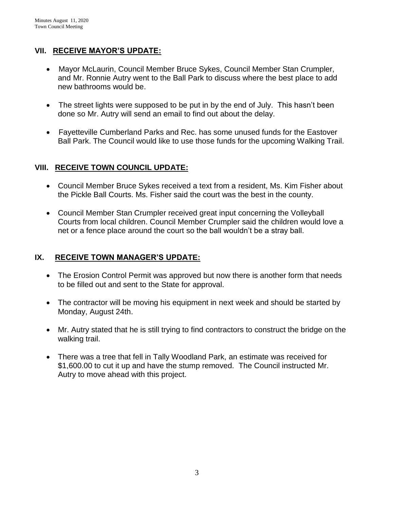# **VII. RECEIVE MAYOR'S UPDATE:**

- Mayor McLaurin, Council Member Bruce Sykes, Council Member Stan Crumpler, and Mr. Ronnie Autry went to the Ball Park to discuss where the best place to add new bathrooms would be.
- The street lights were supposed to be put in by the end of July. This hasn't been done so Mr. Autry will send an email to find out about the delay.
- Fayetteville Cumberland Parks and Rec. has some unused funds for the Eastover Ball Park. The Council would like to use those funds for the upcoming Walking Trail.

# **VIII. RECEIVE TOWN COUNCIL UPDATE:**

- Council Member Bruce Sykes received a text from a resident, Ms. Kim Fisher about the Pickle Ball Courts. Ms. Fisher said the court was the best in the county.
- Council Member Stan Crumpler received great input concerning the Volleyball Courts from local children. Council Member Crumpler said the children would love a net or a fence place around the court so the ball wouldn't be a stray ball.

# **IX. RECEIVE TOWN MANAGER'S UPDATE:**

- The Erosion Control Permit was approved but now there is another form that needs to be filled out and sent to the State for approval.
- The contractor will be moving his equipment in next week and should be started by Monday, August 24th.
- Mr. Autry stated that he is still trying to find contractors to construct the bridge on the walking trail.
- There was a tree that fell in Tally Woodland Park, an estimate was received for \$1,600.00 to cut it up and have the stump removed. The Council instructed Mr. Autry to move ahead with this project.